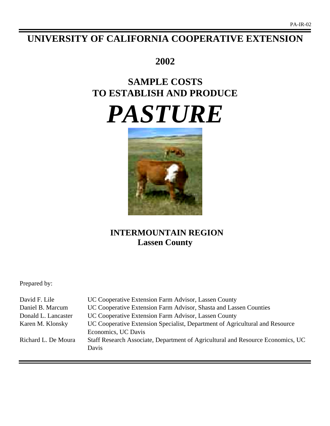# **UNIVERSITY OF CALIFORNIA COOPERATIVE EXTENSION**

# **2002**

# **SAMPLE COSTS TO ESTABLISH AND PRODUCE** *PASTURE*



# **INTERMOUNTAIN REGION Lassen County**

Prepared by:

| David F. Lile       | UC Cooperative Extension Farm Advisor, Lassen County                            |
|---------------------|---------------------------------------------------------------------------------|
| Daniel B. Marcum    | UC Cooperative Extension Farm Advisor, Shasta and Lassen Counties               |
| Donald L. Lancaster | UC Cooperative Extension Farm Advisor, Lassen County                            |
| Karen M. Klonsky    | UC Cooperative Extension Specialist, Department of Agricultural and Resource    |
|                     | Economics, UC Davis                                                             |
| Richard L. De Moura | Staff Research Associate, Department of Agricultural and Resource Economics, UC |
|                     | Davis                                                                           |
|                     |                                                                                 |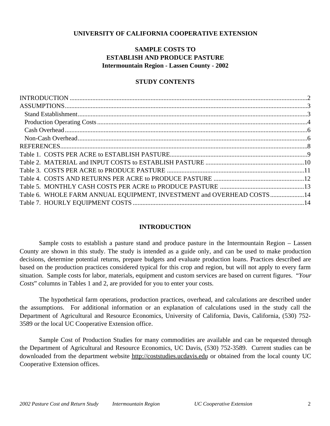# **UNIVERSITY OF CALIFORNIA COOPERATIVE EXTENSION**

# **SAMPLE COSTS TO ESTABLISH AND PRODUCE PASTURE Intermountain Region - Lassen County - 2002**

# **STUDY CONTENTS**

| Table 6. WHOLE FARM ANNUAL EQUIPMENT, INVESTMENT and OVERHEAD COSTS14 |  |
|-----------------------------------------------------------------------|--|
|                                                                       |  |
|                                                                       |  |

# **INTRODUCTION**

Sample costs to establish a pasture stand and produce pasture in the Intermountain Region – Lassen County are shown in this study. The study is intended as a guide only, and can be used to make production decisions, determine potential returns, prepare budgets and evaluate production loans. Practices described are based on the production practices considered typical for this crop and region, but will not apply to every farm situation. Sample costs for labor, materials, equipment and custom services are based on current figures. "*Your Costs*" columns in Tables 1 and 2, are provided for you to enter your costs.

The hypothetical farm operations, production practices, overhead, and calculations are described under the assumptions. For additional information or an explanation of calculations used in the study call the Department of Agricultural and Resource Economics, University of California, Davis, California, (530) 752- 3589 or the local UC Cooperative Extension office.

Sample Cost of Production Studies for many commodities are available and can be requested through the Department of Agricultural and Resource Economics, UC Davis, (530) 752-3589. Current studies can be downloaded from the department website http://coststudies.ucdavis.edu or obtained from the local county UC Cooperative Extension offices.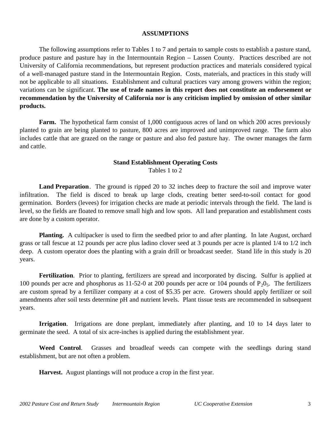# **ASSUMPTIONS**

The following assumptions refer to Tables 1 to 7 and pertain to sample costs to establish a pasture stand, produce pasture and pasture hay in the Intermountain Region – Lassen County. Practices described are not University of California recommendations, but represent production practices and materials considered typical of a well-managed pasture stand in the Intermountain Region. Costs, materials, and practices in this study will not be applicable to all situations.Establishment and cultural practices vary among growers within the region; variations can be significant. **The use of trade names in this report does not constitute an endorsement or recommendation by the University of California nor is any criticism implied by omission of other similar products.**

**Farm.** The hypothetical farm consist of 1,000 contiguous acres of land on which 200 acres previously planted to grain are being planted to pasture, 800 acres are improved and unimproved range. The farm also includes cattle that are grazed on the range or pasture and also fed pasture hay. The owner manages the farm and cattle.

# **Stand Establishment Operating Costs**

Tables 1 to 2

**Land Preparation**. The ground is ripped 20 to 32 inches deep to fracture the soil and improve water infiltration. The field is disced to break up large clods, creating better seed-to-soil contact for good germination. Borders (levees) for irrigation checks are made at periodic intervals through the field. The land is level, so the fields are floated to remove small high and low spots. All land preparation and establishment costs are done by a custom operator.

**Planting.** A cultipacker is used to firm the seedbed prior to and after planting. In late August, orchard grass or tall fescue at 12 pounds per acre plus ladino clover seed at 3 pounds per acre is planted 1/4 to 1/2 inch deep. A custom operator does the planting with a grain drill or broadcast seeder. Stand life in this study is 20 years.

**Fertilization**. Prior to planting, fertilizers are spread and incorporated by discing. Sulfur is applied at 100 pounds per acre and phosphorus as 11-52-0 at 200 pounds per acre or 104 pounds of  $P_2O_5$ . The fertilizers are custom spread by a fertilizer company at a cost of \$5.35 per acre. Growers should apply fertilizer or soil amendments after soil tests determine pH and nutrient levels. Plant tissue tests are recommended in subsequent years.

**Irrigation**. Irrigations are done preplant, immediately after planting, and 10 to 14 days later to germinate the seed. A total of six acre-inches is applied during the establishment year.

**Weed Control**. Grasses and broadleaf weeds can compete with the seedlings during stand establishment, but are not often a problem.

**Harvest.** August plantings will not produce a crop in the first year.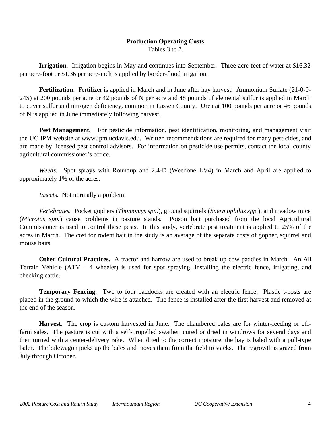# **Production Operating Costs**

Tables 3 to 7.

**Irrigation**. Irrigation begins in May and continues into September. Three acre-feet of water at \$16.32 per acre-foot or \$1.36 per acre-inch is applied by border-flood irrigation.

**Fertilization**. Fertilizer is applied in March and in June after hay harvest. Ammonium Sulfate (21-0-0- 24S) at 200 pounds per acre or 42 pounds of N per acre and 48 pounds of elemental sulfur is applied in March to cover sulfur and nitrogen deficiency, common in Lassen County. Urea at 100 pounds per acre or 46 pounds of N is applied in June immediately following harvest.

Pest Management. For pesticide information, pest identification, monitoring, and management visit the UC IPM website at www.ipm.ucdavis.edu. Written recommendations are required for many pesticides, and are made by licensed pest control advisors. For information on pesticide use permits, contact the local county agricultural commissioner's office.

*Weeds.* Spot sprays with Roundup and 2,4-D (Weedone LV4) in March and April are applied to approximately 1% of the acres.

*Insects.* Not normally a problem.

*Vertebrates.* Pocket gophers (*Thomomys spp.*), ground squirrels (*Spermophilus spp.*), and meadow mice (*Microtus spp.*) cause problems in pasture stands. Poison bait purchased from the local Agricultural Commissioner is used to control these pests. In this study, vertebrate pest treatment is applied to 25% of the acres in March. The cost for rodent bait in the study is an average of the separate costs of gopher, squirrel and mouse baits.

**Other Cultural Practices.** A tractor and harrow are used to break up cow paddies in March. An All Terrain Vehicle (ATV – 4 wheeler) is used for spot spraying, installing the electric fence, irrigating, and checking cattle.

**Temporary Fencing.** Two to four paddocks are created with an electric fence. Plastic t-posts are placed in the ground to which the wire is attached. The fence is installed after the first harvest and removed at the end of the season.

**Harvest**. The crop is custom harvested in June. The chambered bales are for winter-feeding or offfarm sales. The pasture is cut with a self-propelled swather, cured or dried in windrows for several days and then turned with a center-delivery rake. When dried to the correct moisture, the hay is baled with a pull-type baler. The balewagon picks up the bales and moves them from the field to stacks. The regrowth is grazed from July through October.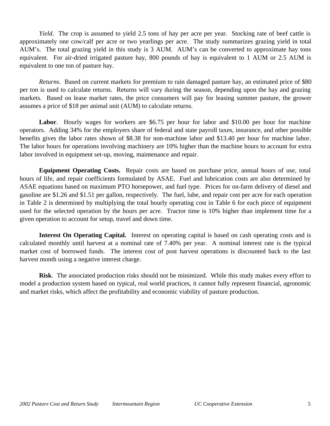*Yield*. The crop is assumed to yield 2.5 tons of hay per acre per year. Stocking rate of beef cattle is approximately one cow/calf per acre or two yearlings per acre. The study summarizes grazing yield in total AUM's. The total grazing yield in this study is 3 AUM. AUM's can be converted to approximate hay tons equivalent. For air-dried irrigated pasture hay, 800 pounds of hay is equivalent to 1 AUM or 2.5 AUM is equivalent to one ton of pasture hay.

*Returns*. Based on current markets for premium to rain damaged pasture hay, an estimated price of \$80 per ton is used to calculate returns. Returns will vary during the season, depending upon the hay and grazing markets. Based on lease market rates, the price consumers will pay for leasing summer pasture, the grower assumes a price of \$18 per animal unit (AUM) to calculate returns.

Labor. Hourly wages for workers are \$6.75 per hour for labor and \$10.00 per hour for machine operators. Adding 34% for the employers share of federal and state payroll taxes, insurance, and other possible benefits gives the labor rates shown of \$8.38 for non-machine labor and \$13.40 per hour for machine labor. The labor hours for operations involving machinery are 10% higher than the machine hours to account for extra labor involved in equipment set-up, moving, maintenance and repair.

**Equipment Operating Costs.** Repair costs are based on purchase price, annual hours of use, total hours of life, and repair coefficients formulated by ASAE. Fuel and lubrication costs are also determined by ASAE equations based on maximum PTO horsepower, and fuel type. Prices for on-farm delivery of diesel and gasoline are \$1.26 and \$1.51 per gallon, respectively. The fuel, lube, and repair cost per acre for each operation in Table 2 is determined by multiplying the total hourly operating cost in Table 6 for each piece of equipment used for the selected operation by the hours per acre. Tractor time is 10% higher than implement time for a given operation to account for setup, travel and down time.

**Interest On Operating Capital.**Interest on operating capital is based on cash operating costs and is calculated monthly until harvest at a nominal rate of 7.40% per year. A nominal interest rate is the typical market cost of borrowed funds. The interest cost of post harvest operations is discounted back to the last harvest month using a negative interest charge.

**Risk**. The associated production risks should not be minimized. While this study makes every effort to model a production system based on typical, real world practices, it cannot fully represent financial, agronomic and market risks, which affect the profitability and economic viability of pasture production.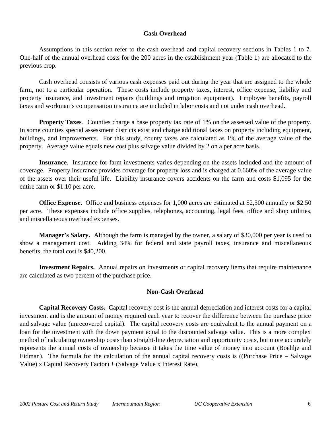# **Cash Overhead**

Assumptions in this section refer to the cash overhead and capital recovery sections in Tables 1 to 7. One-half of the annual overhead costs for the 200 acres in the establishment year (Table 1) are allocated to the previous crop.

Cash overhead consists of various cash expenses paid out during the year that are assigned to the whole farm, not to a particular operation. These costs include property taxes, interest, office expense, liability and property insurance, and investment repairs (buildings and irrigation equipment). Employee benefits, payroll taxes and workman's compensation insurance are included in labor costs and not under cash overhead.

**Property Taxes***.* Counties charge a base property tax rate of 1% on the assessed value of the property. In some counties special assessment districts exist and charge additional taxes on property including equipment, buildings, and improvements. For this study, county taxes are calculated as 1% of the average value of the property. Average value equals new cost plus salvage value divided by 2 on a per acre basis.

**Insurance**. Insurance for farm investments varies depending on the assets included and the amount of coverage. Property insurance provides coverage for property loss and is charged at 0.660% of the average value of the assets over their useful life. Liability insurance covers accidents on the farm and costs \$1,095 for the entire farm or \$1.10 per acre.

**Office Expense.** Office and business expenses for 1,000 acres are estimated at \$2,500 annually or \$2.50 per acre. These expenses include office supplies, telephones, accounting, legal fees, office and shop utilities, and miscellaneous overhead expenses.

**Manager's Salary.** Although the farm is managed by the owner, a salary of \$30,000 per year is used to show a management cost. Adding 34% for federal and state payroll taxes, insurance and miscellaneous benefits, the total cost is \$40,200.

**Investment Repairs.** Annual repairs on investments or capital recovery items that require maintenance are calculated as two percent of the purchase price.

# **Non-Cash Overhead**

**Capital Recovery Costs.** Capital recovery cost is the annual depreciation and interest costs for a capital investment and is the amount of money required each year to recover the difference between the purchase price and salvage value (unrecovered capital). The capital recovery costs are equivalent to the annual payment on a loan for the investment with the down payment equal to the discounted salvage value. This is a more complex method of calculating ownership costs than straight-line depreciation and opportunity costs, but more accurately represents the annual costs of ownership because it takes the time value of money into account (Boehlje and Eidman). The formula for the calculation of the annual capital recovery costs is ((Purchase Price – Salvage Value) x Capital Recovery Factor) + (Salvage Value x Interest Rate).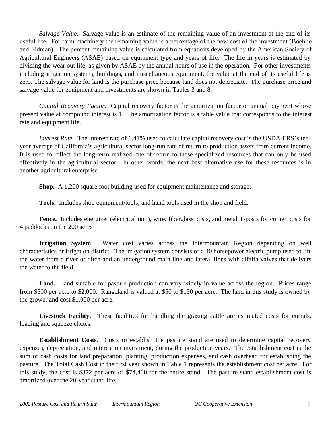*Salvage Value*. Salvage value is an estimate of the remaining value of an investment at the end of its useful life. For farm machinery the remaining value is a percentage of the new cost of the investment (Boehlje and Eidman). The percent remaining value is calculated from equations developed by the American Society of Agricultural Engineers (ASAE) based on equipment type and years of life. The life in years is estimated by dividing the wear out life, as given by ASAE by the annual hours of use in the operation. For other investments including irrigation systems, buildings, and miscellaneous equipment, the value at the end of its useful life is zero. The salvage value for land is the purchase price because land does not depreciate. The purchase price and salvage value for equipment and investments are shown in Tables 3 and 8.

*Capital Recovery Factor.* Capital recovery factor is the amortization factor or annual payment whose present value at compound interest is 1. The amortization factor is a table value that corresponds to the interest rate and equipment life.

*Interest Rate*. The interest rate of 6.41% used to calculate capital recovery cost is the USDA-ERS's tenyear average of California's agricultural sector long-run rate of return to production assets from current income. It is used to reflect the long-term realized rate of return to these specialized resources that can only be used effectively in the agricultural sector. In other words, the next best alternative use for these resources is in another agricultural enterprise.

**Shop.** A 1,200 square foot building used for equipment maintenance and storage.

**Tools.** Includes shop equipment/tools, and hand tools used in the shop and field.

**Fence.** Includes energizer (electrical unit), wire, fiberglass posts, and metal T-posts for corner posts for 4 paddocks on the 200 acres

**Irrigation System**. Water cost varies across the Intermountain Region depending on well characteristics or irrigation district. The irrigation system consists of a 40 horsepower electric pump used to lift the water from a river or ditch and an underground main line and lateral lines with alfalfa valves that delivers the water to the field.

Land. Land suitable for pasture production can vary widely in value across the region. Prices range from \$500 per acre to \$2,000. Rangeland is valued at \$50 to \$150 per acre. The land in this study is owned by the grower and cost \$1,000 per acre.

Livestock Facility. These facilities for handling the grazing cattle are estimated costs for corrals, loading and squeeze chutes.

**Establishment Costs**. Costs to establish the pasture stand are used to determine capital recovery expenses, depreciation, and interest on investment, during the production years. The establishment cost is the sum of cash costs for land preparation, planting, production expenses, and cash overhead for establishing the pasture. The Total Cash Cost in the first year shown in Table 1 represents the establishment cost per acre. For this study, the cost is \$372 per acre or \$74,400 for the entire stand. The pasture stand establishment cost is amortized over the 20-year stand life.

.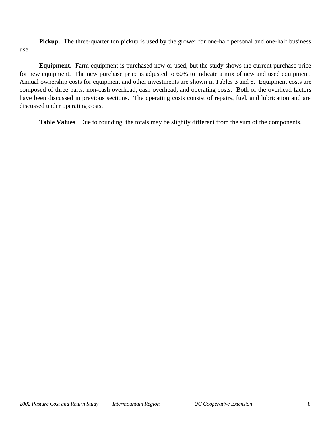**Pickup.** The three-quarter ton pickup is used by the grower for one-half personal and one-half business use.

**Equipment.** Farm equipment is purchased new or used, but the study shows the current purchase price for new equipment. The new purchase price is adjusted to 60% to indicate a mix of new and used equipment. Annual ownership costs for equipment and other investments are shown in Tables 3 and 8. Equipment costs are composed of three parts: non-cash overhead, cash overhead, and operating costs. Both of the overhead factors have been discussed in previous sections. The operating costs consist of repairs, fuel, and lubrication and are discussed under operating costs.

**Table Values**. Due to rounding, the totals may be slightly different from the sum of the components.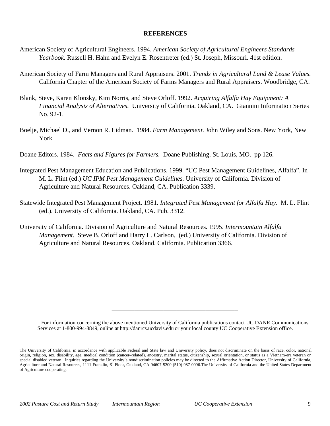# **REFERENCES**

- American Society of Agricultural Engineers. 1994. *American Society of Agricultural Engineers Standards Yearbook*. Russell H. Hahn and Evelyn E. Rosentreter (ed.) St. Joseph, Missouri. 41st edition.
- American Society of Farm Managers and Rural Appraisers. 2001. *Trends in Agricultural Land & Lease Values.* California Chapter of the American Society of Farms Managers and Rural Appraisers. Woodbridge, CA.
- Blank, Steve, Karen Klonsky, Kim Norris, and Steve Orloff. 1992. *Acquiring Alfalfa Hay Equipment: A Financial Analysis of Alternatives*. University of California. Oakland, CA. Giannini Information Series No. 92-1.
- Boelje, Michael D., and Vernon R. Eidman. 1984. *Farm Management*. John Wiley and Sons. New York, New York
- Doane Editors. 1984. *Facts and Figures for Farmers.* Doane Publishing. St. Louis, MO. pp 126.
- Integrated Pest Management Education and Publications. 1999. "UC Pest Management Guidelines, Alfalfa". In M. L. Flint (ed.) *UC IPM Pest Management Guidelines.* University of California. Division of Agriculture and Natural Resources. Oakland, CA. Publication 3339.
- Statewide Integrated Pest Management Project. 1981. *Integrated Pest Management for Alfalfa Hay*. M. L. Flint (ed.). University of California. Oakland, CA. Pub. 3312.
- University of California. Division of Agriculture and Natural Resources. 1995. *Intermountain Alfalfa Management*. Steve B. Orloff and Harry L. Carlson, (ed.) University of California. Division of Agriculture and Natural Resources. Oakland, California. Publication 3366.

For information concerning the above mentioned University of California publications contact UC DANR Communications Services at 1-800-994-8849, online at http://danrcs.ucdavis.edu or your local county UC Cooperative Extension office.

\_\_\_\_\_\_\_\_\_\_\_\_\_\_\_\_\_\_\_\_\_\_\_\_\_\_\_\_\_\_\_\_\_\_\_\_\_\_\_

The University of California, in accordance with applicable Federal and State law and University policy, does not discriminate on the basis of race, color, national origin, religion, sex, disability, age, medical condition (cancer–related), ancestry, marital status, citizenship, sexual orientation, or status as a Vietnam-era veteran or special disabled veteran. Inquiries regarding the University's nondiscrimination policies may be directed to the Affirmative Action Director, University of California, Agriculture and Natural Resources, 1111 Franklin, 6<sup>th</sup> Floor, Oakland, CA 94607-5200 (510) 987-0096. The University of California and the United States Department of Agriculture cooperating.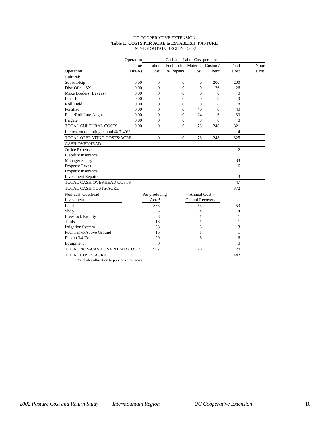# UC COOPERATIVE EXTENSION **Table 1. COSTS PER ACRE to ESTABLISH PASTURE** INTERMOUTAIN REGION - 2002

|                                         | Operation<br>Cash and Labor Cost per acre |                  |                             |                   |          |                |      |  |  |
|-----------------------------------------|-------------------------------------------|------------------|-----------------------------|-------------------|----------|----------------|------|--|--|
|                                         | Time                                      | Labor            | Fuel. Lube Material Custom/ |                   |          | Total          | Your |  |  |
| Operation                               | (Hrs/A)                                   | Cost             | & Repairs                   | Cost              | Rent     | Cost           | Cost |  |  |
| Cultural:                               |                                           |                  |                             |                   |          |                |      |  |  |
| Subsoil/Rip                             | 0.00                                      | $\overline{0}$   | $\overline{0}$              | $\mathbf{0}$      | 200      | 200            |      |  |  |
| Disc Offset 3X                          | 0.00                                      | $\boldsymbol{0}$ | $\overline{0}$              | $\mathbf{0}$      | 26       | 26             |      |  |  |
| Make Borders (Levees)                   | 0.00                                      | $\Omega$         | $\mathbf{0}$                | $\Omega$          | $\Omega$ | 0              |      |  |  |
| <b>Float Field</b>                      | 0.00                                      | 0                | $\mathbf{0}$                | $\mathbf{0}$      | 9        | 9              |      |  |  |
| Roll Field                              | 0.00                                      | $\boldsymbol{0}$ | $\mathbf{0}$                | $\mathbf{0}$      | 8        | 8              |      |  |  |
| Fertilize                               | 0.00                                      | $\mathbf{0}$     | $\mathbf{0}$                | 40                | $\Omega$ | 40             |      |  |  |
| Plant/Roll Late August                  | 0.00                                      | $\Omega$         | $\mathbf{0}$                | 24                | 6        | 30             |      |  |  |
| Irrigate                                | 0.00                                      | $\Omega$         | $\theta$                    | 8                 | $\Omega$ | 8              |      |  |  |
| <b>TOTAL CULTURAL COSTS</b>             | 0.00                                      | $\overline{0}$   | $\overline{0}$              | 73                | 248      | 321            |      |  |  |
| Interest on operating capital $@$ 7.40% |                                           |                  |                             |                   |          | $\overline{4}$ |      |  |  |
| TOTAL OPERATING COSTS/ACRE              |                                           | $\overline{0}$   | $\overline{0}$              | 73                | 248      | 325            |      |  |  |
| <b>CASH OVERHEAD:</b>                   |                                           |                  |                             |                   |          |                |      |  |  |
| Office Expense                          |                                           |                  |                             |                   |          | $\overline{2}$ |      |  |  |
| Liability Insurance                     |                                           |                  |                             |                   |          | 1              |      |  |  |
| <b>Manager Salary</b>                   |                                           |                  |                             |                   |          | 33             |      |  |  |
| <b>Property Taxes</b>                   |                                           |                  |                             |                   |          | 6              |      |  |  |
| Property Insurance                      |                                           |                  |                             |                   |          | 1              |      |  |  |
| <b>Investment Repairs</b>               |                                           |                  |                             |                   |          | 3              |      |  |  |
| TOTAL CASH OVERHEAD COSTS               |                                           |                  |                             |                   |          | 47             |      |  |  |
| <b>TOTAL CASH COSTS/ACRE</b>            |                                           |                  |                             |                   |          | 372            |      |  |  |
| Non-cash Overhead:                      |                                           | Per producing    |                             | -- Annual Cost -- |          |                |      |  |  |
| Investment                              |                                           | Acre*            |                             | Capital Recovery  |          |                |      |  |  |
| Land                                    |                                           | 833              |                             | 53                |          | 53             |      |  |  |
| Shop                                    |                                           | 55               |                             | $\overline{4}$    |          | 4              |      |  |  |
| <b>Livestock Facility</b>               |                                           | 8                |                             | 1                 |          | 1              |      |  |  |
| Tools                                   |                                           | 18               |                             | 1                 |          | 1              |      |  |  |
| <b>Irrigation System</b>                |                                           | 38               |                             | 3                 |          | 3              |      |  |  |
| Fuel Tanks/Above Ground                 |                                           | 16               |                             | 1                 |          | 1              |      |  |  |
| Pickup 3/4 Ton                          |                                           | 29               |                             | 6                 |          | 6              |      |  |  |
| Equipment                               |                                           | $\mathbf{0}$     |                             |                   |          | $\Omega$       |      |  |  |
| TOTAL NON-CASH OVERHEAD COSTS           |                                           | 997              |                             | 70                |          | 70             |      |  |  |
| <b>TOTAL COSTS/ACRE</b>                 |                                           |                  |                             |                   |          | 442            |      |  |  |

\*includes allocation to previous crop acres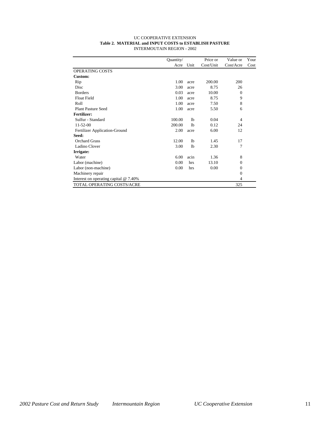| UC COOPERATIVE EXTENSION                               |
|--------------------------------------------------------|
| Table 2. MATERIAL and INPUT COSTS to ESTABLISH PASTURE |
| INTERMOUTAIN REGION - 2002                             |

|                                         | Quantity/ |                | Price or  | Value or       | Your |
|-----------------------------------------|-----------|----------------|-----------|----------------|------|
|                                         | Acre      | Unit           | Cost/Unit | Cost/Acre      | Cost |
| <b>OPERATING COSTS</b>                  |           |                |           |                |      |
| Custom:                                 |           |                |           |                |      |
| Rip                                     | 1.00      | acre           | 200.00    | 200            |      |
| Disc                                    | 3.00      | acre           | 8.75      | 26             |      |
| <b>Borders</b>                          | 0.03      | acre           | 10.00     | $\mathbf{0}$   |      |
| <b>Float Field</b>                      | 1.00      | acre           | 8.75      | 9              |      |
| Roll                                    | 1.00      | acre           | 7.50      | 8              |      |
| <b>Plant Pasture Seed</b>               | 1.00      | acre           | 5.50      | 6              |      |
| <b>Fertilizer:</b>                      |           |                |           |                |      |
| Sulfur - Standard                       | 100.00    | 1 <sub>b</sub> | 0.04      | 4              |      |
| $11 - 52 - 00$                          | 200.00    | 1 <sub>b</sub> | 0.12      | 24             |      |
| Fertilizer Application-Ground           | 2.00      | acre           | 6.00      | 12             |      |
| Seed:                                   |           |                |           |                |      |
| <b>Orchard Grass</b>                    | 12.00     | 1 <sub>b</sub> | 1.45      | 17             |      |
| Ladino Clover                           | 3.00      | 1 <sub>b</sub> | 2.30      | 7              |      |
| Irrigate:                               |           |                |           |                |      |
| Water                                   | 6.00      | acin           | 1.36      | 8              |      |
| Labor (machine)                         | 0.00      | hrs            | 13.10     | $\mathbf{0}$   |      |
| Labor (non-machine)                     | 0.00      | hrs            | 0.00      | $\mathbf{0}$   |      |
| Machinery repair                        |           |                |           | $\mathbf{0}$   |      |
| Interest on operating capital $@$ 7.40% |           |                |           | $\overline{4}$ |      |
| <b>TOTAL OPERATING COSTS/ACRE</b>       |           |                |           | 325            |      |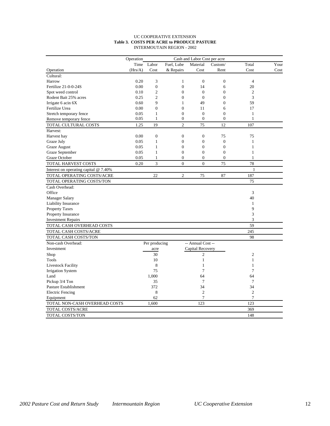# UC COOPERATIVE EXTENSION **Table 3. COSTS PER ACRE to PRODUCE PASTURE** INTERMOUTAIN REGION - 2002

|                                       | Operation<br>Cash and Labor Cost per acre |                  |                  |                   |                  |                |      |  |  |
|---------------------------------------|-------------------------------------------|------------------|------------------|-------------------|------------------|----------------|------|--|--|
|                                       | Time                                      | Labor            | Fuel. Lube       | Material          | Custom/          | Total          | Your |  |  |
| Operation                             | (Hrs/A)                                   | Cost             | & Repairs        | Cost              | Rent             | Cost           | Cost |  |  |
| Cultural:                             |                                           |                  |                  |                   |                  |                |      |  |  |
| Harrow                                | 0.20                                      | 3                | $\mathbf{1}$     | $\boldsymbol{0}$  | $\boldsymbol{0}$ | $\overline{4}$ |      |  |  |
| Fertilize 21-0-0-24S                  | 0.00                                      | $\boldsymbol{0}$ | $\boldsymbol{0}$ | 14                | 6                | 20             |      |  |  |
| Spot weed control                     | 0.10                                      | $\overline{2}$   | $\mathbf{0}$     | $\mathbf{0}$      | $\overline{0}$   | $\overline{c}$ |      |  |  |
| Rodent Bait 25% acres                 | 0.25                                      | $\overline{2}$   | $\theta$         | $\theta$          | $\overline{0}$   | 3              |      |  |  |
| Irrigate 6 acin 6X                    | 0.60                                      | 9                | $\mathbf{1}$     | 49                | $\theta$         | 59             |      |  |  |
| Fertilize Urea                        | 0.00                                      | $\overline{0}$   | $\overline{0}$   | 11                | 6                | 17             |      |  |  |
| Stretch temporary fence               | 0.05                                      | $\mathbf{1}$     | $\mathbf{0}$     | $\boldsymbol{0}$  | $\overline{0}$   | 1              |      |  |  |
| Remove temporary fence                | 0.05                                      | $\mathbf{1}$     | $\mathbf{0}$     | $\overline{0}$    | $\overline{0}$   | $\mathbf{1}$   |      |  |  |
| TOTAL CULTURAL COSTS                  | 1.25                                      | 19               | $\overline{2}$   | 75                | 12               | 107            |      |  |  |
| Harvest:                              |                                           |                  |                  |                   |                  |                |      |  |  |
| Harvest hay                           | 0.00                                      | $\boldsymbol{0}$ | $\boldsymbol{0}$ | $\boldsymbol{0}$  | 75               | 75             |      |  |  |
| Graze July                            | 0.05                                      | $\mathbf{1}$     | $\overline{0}$   | $\overline{0}$    | $\overline{0}$   | $\mathbf{1}$   |      |  |  |
| Graze August                          | 0.05                                      | $\mathbf{1}$     | $\mathbf{0}$     | $\overline{0}$    | $\overline{0}$   | $\mathbf{1}$   |      |  |  |
| Graze September                       | 0.05                                      | $\mathbf{1}$     | $\overline{0}$   | $\overline{0}$    | $\overline{0}$   | $\mathbf{1}$   |      |  |  |
| Graze October                         | 0.05                                      | $\mathbf{1}$     | $\boldsymbol{0}$ | $\boldsymbol{0}$  | $\boldsymbol{0}$ | $\mathbf{1}$   |      |  |  |
| TOTAL HARVEST COSTS                   | 0.20                                      | $\overline{3}$   | $\theta$         | $\theta$          | 75               | 78             |      |  |  |
| Interest on operating capital @ 7.40% |                                           |                  |                  |                   |                  | $\mathbf{1}$   |      |  |  |
| TOTAL OPERATING COSTS/ACRE            |                                           | 22               | $\overline{c}$   | 75                | 87               | 187            |      |  |  |
| TOTAL OPERATING COSTS/TON             |                                           |                  |                  |                   |                  | 75             |      |  |  |
| Cash Overhead:                        |                                           |                  |                  |                   |                  |                |      |  |  |
| Office                                |                                           |                  |                  |                   |                  | 3              |      |  |  |
| <b>Manager Salary</b>                 |                                           |                  |                  |                   |                  | 40             |      |  |  |
| Liability Insurance                   |                                           |                  |                  |                   |                  | $\mathbf{1}$   |      |  |  |
| <b>Property Taxes</b>                 |                                           |                  |                  |                   |                  | 9              |      |  |  |
| <b>Property Insurance</b>             |                                           |                  |                  |                   |                  | 3              |      |  |  |
| <b>Investment Repairs</b>             |                                           |                  |                  |                   |                  | 3              |      |  |  |
| TOTAL CASH OVERHEAD COSTS             |                                           |                  |                  |                   |                  | 59             |      |  |  |
| TOTAL CASH COSTS/ACRE                 |                                           |                  |                  |                   |                  | 245            |      |  |  |
| TOTAL CASH COSTS/TON                  |                                           |                  |                  |                   |                  | 98             |      |  |  |
| Non-cash Overhead:                    |                                           | Per producing    |                  | -- Annual Cost -- |                  |                |      |  |  |
| Investment                            |                                           | acre             |                  | Capital Recovery  |                  |                |      |  |  |
| Shop                                  |                                           | 30               |                  | $\overline{c}$    |                  | 2              |      |  |  |
| Tools                                 |                                           | 10               |                  | $\mathbf{1}$      |                  | $\mathbf{1}$   |      |  |  |
| <b>Livestock Facility</b>             |                                           | 8                |                  | $\mathbf{1}$      |                  | $\mathbf{1}$   |      |  |  |
| <b>Irrigation System</b>              |                                           | 75               |                  | 7                 |                  | 7              |      |  |  |
| Land                                  |                                           | 1,000            |                  | 64                |                  | 64             |      |  |  |
| Pickup 3/4 Ton                        |                                           | 35               |                  | $\tau$            |                  | 7              |      |  |  |
| Pasture Establishment                 |                                           | 372              |                  | 34                |                  | 34             |      |  |  |
| <b>Electric Fencing</b>               |                                           | 8                |                  | $\overline{2}$    |                  | $\overline{2}$ |      |  |  |
| Equipment                             |                                           | 62               |                  | 7                 |                  | $\overline{7}$ |      |  |  |
| TOTAL NON-CASH OVERHEAD COSTS         |                                           | 1,600            |                  | 123               |                  | 123            |      |  |  |
| TOTAL COSTS/ACRE                      |                                           |                  |                  |                   |                  | 369            |      |  |  |
| TOTAL COSTS/TON                       |                                           |                  |                  |                   |                  | 148            |      |  |  |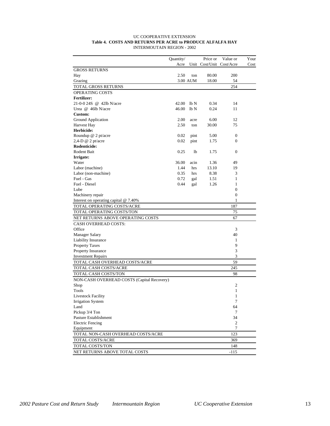| <b>UC COOPERATIVE EXTENSION</b>                            |
|------------------------------------------------------------|
| Table 4. COSTS AND RETURNS PER ACRE to PRODUCE ALFALFA HAY |
| INTERMOUTAIN REGION - 2002                                 |

|                                                 | Quantity/ |          | Price or | Value or                 | Your |
|-------------------------------------------------|-----------|----------|----------|--------------------------|------|
|                                                 | Acre      |          |          | Unit Cost/Unit Cost/Acre | Cost |
| <b>GROSS RETURNS</b>                            |           |          |          |                          |      |
| Hay                                             | 2.50      | ton      | 80.00    | 200                      |      |
| Grazing                                         |           | 3.00 AUM | 18.00    | 54                       |      |
| TOTAL GROSS RETURNS                             |           |          |          | 254                      |      |
| OPERATING COSTS                                 |           |          |          |                          |      |
| <b>Fertilizer:</b>                              |           |          |          |                          |      |
| 21-0-0 24S @ 42lb N/acre                        | 42.00     | lb N     | 0.34     | 14                       |      |
| Urea $@$ 46lb N/acre                            | 46.00     | lbN      | 0.24     | 11                       |      |
| <b>Custom:</b>                                  |           |          |          |                          |      |
| Ground Application                              | 2.00      | acre     | 6.00     | 12                       |      |
| Harvest Hay                                     | 2.50      | ton      | 30.00    | 75                       |      |
| Herbicide:                                      |           |          |          |                          |      |
| Roundup @ 2 pt/acre                             | 0.02      | pint     | 5.00     | 0                        |      |
| 2,4-D @ 2 pt/acre                               | 0.02      | pint     | 1.75     | $\overline{0}$           |      |
| Rodenticide:                                    |           |          |          |                          |      |
| Rodent Bait                                     | 0.25      | lb       | 1.75     | $\boldsymbol{0}$         |      |
| Irrigate:                                       |           |          |          |                          |      |
| Water                                           | 36.00     | acin     | 1.36     | 49                       |      |
| Labor (machine)                                 | 1.44      | hrs      | 13.10    | 19                       |      |
| Labor (non-machine)                             | 0.35      | hrs      | 8.38     | 3                        |      |
| Fuel - Gas                                      | 0.72      | gal      | 1.51     | 1                        |      |
| Fuel - Diesel                                   | 0.44      | gal      | 1.26     | 1                        |      |
| Lube                                            |           |          |          | $\overline{0}$           |      |
| Machinery repair                                |           |          |          | $\boldsymbol{0}$<br>1    |      |
| Interest on operating capital @ 7.40%           |           |          |          |                          |      |
| TOTAL OPERATING COSTS/ACRE                      |           |          |          | 187                      |      |
| TOTAL OPERATING COSTS/TON                       |           |          |          | 75                       |      |
| NET RETURNS ABOVE OPERATING COSTS               |           |          |          | 67                       |      |
| <b>CASH OVERHEAD COSTS:</b><br>Office           |           |          |          |                          |      |
|                                                 |           |          |          | 3<br>40                  |      |
| <b>Manager Salary</b>                           |           |          |          |                          |      |
| Liability Insurance                             |           |          |          | 1<br>9                   |      |
| <b>Property Taxes</b>                           |           |          |          | 3                        |      |
| Property Insurance<br><b>Investment Repairs</b> |           |          |          | 3                        |      |
|                                                 |           |          |          | 59                       |      |
| TOTAL CASH OVERHEAD COSTS/ACRE                  |           |          |          | 245                      |      |
| TOTAL CASH COSTS/ACRE                           |           |          |          |                          |      |
| TOTAL CASH COSTS/TON                            |           |          |          | 98                       |      |
| NON-CASH OVERHEAD COSTS (Capital Recovery)      |           |          |          |                          |      |
| Shop                                            |           |          |          | 2                        |      |
| Tools                                           |           |          |          | 1                        |      |
| <b>Livestock Facility</b>                       |           |          |          | 1                        |      |
| <b>Irrigation System</b>                        |           |          |          | 7                        |      |
| Land                                            |           |          |          | 64                       |      |
| Pickup 3/4 Ton<br>Pasture Establishment         |           |          |          | 7<br>34                  |      |
|                                                 |           |          |          |                          |      |
| <b>Electric Fencing</b>                         |           |          |          | $\mathfrak{2}$<br>7      |      |
| Equipment                                       |           |          |          |                          |      |
| TOTAL NON-CASH OVERHEAD COSTS/ACRE              |           |          |          | 123                      |      |
| TOTAL COSTS/ACRE                                |           |          |          | 369                      |      |
| TOTAL COSTS/TON                                 |           |          |          | 148                      |      |
| NET RETURNS ABOVE TOTAL COSTS                   |           |          |          | $-115$                   |      |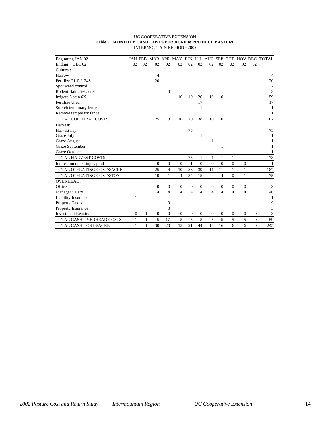# UC COOPERATIVE EXTENSION **Table 5. MONTHLY CASH COSTS PER ACRE to PRODUCE PASTURE** INTERMOUTAIN REGION - 2002

| Beginning JAN 02              |              | <b>JAN FEB</b> |                |                  |                |                |                  |                |                |                |                  |              | MAR APR MAY JUN JUL AUG SEP OCT NOV DEC TOTAL |
|-------------------------------|--------------|----------------|----------------|------------------|----------------|----------------|------------------|----------------|----------------|----------------|------------------|--------------|-----------------------------------------------|
| Ending DEC 02                 | 02           | 02             | 02             | 02               | 02             | 02             | 02               | 02             | 02             | 02             | 02               | 02           |                                               |
| Cultural:                     |              |                |                |                  |                |                |                  |                |                |                |                  |              |                                               |
| Harrow                        |              |                | $\overline{4}$ |                  |                |                |                  |                |                |                |                  |              | 4                                             |
| Fertilize 21-0-0-24S          |              |                | 20             |                  |                |                |                  |                |                |                |                  |              | 20                                            |
| Spot weed control             |              |                | 1              | 1                |                |                |                  |                |                |                |                  |              | $\overline{2}$                                |
| Rodent Bait 25% acres         |              |                |                | 3                |                |                |                  |                |                |                |                  |              | 3                                             |
| Irrigate 6 acin 6X            |              |                |                |                  | 10             | 10             | 20               | 10             | 10             |                |                  |              | 59                                            |
| Fertilize Urea                |              |                |                |                  |                |                | 17               |                |                |                |                  |              | 17                                            |
| Stretch temporary fence       |              |                |                |                  |                |                | 1                |                |                |                |                  |              |                                               |
| Remove temporary fence        |              |                |                |                  |                |                |                  |                |                |                | 1                |              |                                               |
| TOTAL CULTURAL COSTS          |              |                | 25             | $\overline{3}$   | 10             | 10             | 38               | 10             | 10             |                | $\mathbf{1}$     |              | 107                                           |
| Harvest:                      |              |                |                |                  |                |                |                  |                |                |                |                  |              |                                               |
| Harvest hay                   |              |                |                |                  |                | 75             |                  |                |                |                |                  |              | 75                                            |
| Graze July                    |              |                |                |                  |                |                | 1                |                |                |                |                  |              |                                               |
| <b>Graze August</b>           |              |                |                |                  |                |                |                  | 1              |                |                |                  |              |                                               |
| Graze September               |              |                |                |                  |                |                |                  |                | 1              |                |                  |              | 1                                             |
| Graze October                 |              |                |                |                  |                |                |                  |                |                | 1              |                  |              |                                               |
| <b>TOTAL HARVEST COSTS</b>    |              |                |                |                  |                | 75             | 1                | 1              | 1              | $\mathbf{1}$   |                  |              | 78                                            |
| Interest on operating capital |              |                | $\overline{0}$ | $\boldsymbol{0}$ | $\overline{0}$ | 1              | $\overline{0}$   | $\overline{0}$ | $\mathbf{0}$   | $\overline{0}$ | $\boldsymbol{0}$ |              | 1                                             |
| TOTAL OPERATING COSTS/ACRE    |              |                | 25             | $\overline{4}$   | 10             | 86             | 39               | 11             | 11             | $\mathbf{1}$   | $\mathbf{1}$     |              | 187                                           |
| TOTAL OPERATING COSTS/TON     |              |                | 10             | $\mathbf{1}$     | 4              | 34             | 15               | 4              | $\overline{4}$ | $\overline{0}$ | $\mathbf{1}$     |              | 75                                            |
| <b>OVERHEAD:</b>              |              |                |                |                  |                |                |                  |                |                |                |                  |              |                                               |
| Office                        |              |                | 0              | $\mathbf{0}$     | $\mathbf{0}$   | $\mathbf{0}$   | $\boldsymbol{0}$ | 0              | $\theta$       | $\mathbf{0}$   | $\mathbf{0}$     |              | 3                                             |
| <b>Manager Salary</b>         |              |                | $\overline{4}$ | $\overline{4}$   | 4              | $\overline{4}$ | $\overline{4}$   | $\overline{4}$ | $\overline{4}$ | $\overline{4}$ | 4                |              | 40                                            |
| Liability Insurance           | 1            |                |                |                  |                |                |                  |                |                |                |                  |              | 1                                             |
| <b>Property Taxes</b>         |              |                |                | 9                |                |                |                  |                |                |                |                  |              | 9                                             |
| Property Insurance            |              |                |                | 3                |                |                |                  |                |                |                |                  |              | 3                                             |
| <b>Investment Repairs</b>     | $\mathbf{0}$ | $\Omega$       | $\overline{0}$ | $\Omega$         | $\mathbf{0}$   | $\theta$       | $\mathbf{0}$     | $\mathbf{0}$   | $\mathbf{0}$   | $\mathbf{0}$   | $\theta$         | $\mathbf{0}$ | 3                                             |
| TOTAL CASH OVERHEAD COSTS     | $\mathbf{1}$ | $\mathbf{0}$   | 5              | 17               | 5              | 5              | 5                | 5              | 5              | 5              | 5                | $\mathbf{0}$ | 59                                            |
| <b>TOTAL CASH COSTS/ACRE</b>  | 1            | $\Omega$       | 30             | 20               | 15             | 91             | 44               | 16             | 16             | 6              | 6                | $\Omega$     | 245                                           |